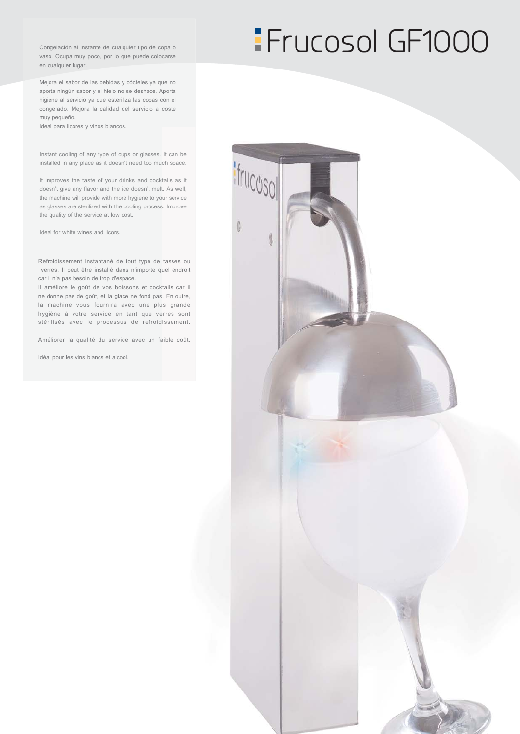Congelación al instante de cualquier tipo de copa o vaso. Ocupa muy poco, por lo que puede colocarse en cualquier lugar.

Mejora el sabor de las bebidas y cócteles ya que no aporta ningún sabor y el hielo no se deshace. Aporta higiene al servicio ya que esteriliza las copas con el congelado. Mejora la calidad del servicio a coste muy pequeño.

Ideal para licores y vinos blancos.

Instant cooling of any type of cups or glasses. It can be installed in any place as it doesn't need too much space.

It improves the taste of your drinks and cocktails as it doesn't give any flavor and the ice doesn't melt. As well. the machine will provide with more hygiene to your service as glasses are sterilized with the cooling process. Improve the quality of the service at low cost.

Ideal for white wines and licors.

Refroidissement instantané de tout type de tasses ou verres. Il peut être installé dans n'importe quel endroit car il n'a pas besoin de trop d'espace.

Il améliore le goût de vos boissons et cocktails car il ne donne pas de goût, et la glace ne fond pas. En outre, la machine vous fournira avec une plus grande hygiène à votre service en tant que verres sont stérilisés avec le processus de refroidissement.

Améliorer la qualité du service avec un faible coût.

Idéal pour les vins blancs et alcool.

# **Frucosol GF1000**